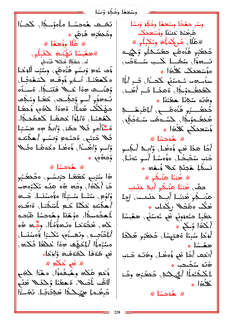ومَعْهَا وَدُبِّهِ وْسُا

تَهْــم حُوصيًا وأُووُـــدًا. كَصـرَا وحٌدهُ وَهُ وَءَهَمَ \* **& هُلَا وؤُهِهُا &** @همْبِسُا نَكْتَ مِنْهُ كَذَبِلُمْ. مَّه. ح**عَّذِلَا مَّثَــٰلا** فُنُوهَٰم ؤُد غُوم وْبِسُو فُزُوهُمْ. وِسُبُّ لِلْوَيُحَا ەڭھھكا. آسەبر زُوڤى كشھۇبا. وَقَنْسِهِ وَوَٰٓ لَمِيكُمْ قَتَنَبُوا وَسَيَّرُهُ لُــه\$بر أُسـرٍ وَحِكْمــد. كَعُــل وِسُـكْف حَهْكُكُ هُداًا. هُ‰ا كَشُومٍ وَُحِعُدًا لأَهْمَا. ةَالِمُوْا مُعْصَل لْأَهْمَدِيْا. هُمْلَأُومٍ ثَلا حفَّزٍ. وَاللَّهُ وه همَّتْهِا ثَلا تَـْتَبُّ مَحْتَـْمَمْ وَسُـُـو أَحَكْتَبُ وَّاسِرٍ وَٱهۡدَٰٓٓٓٓٓٲٰٓا.. ۏٞ٥ۿڶٵ ٥ۿۮۿڶٵ ٥ڞٞڰ  $\bullet$   $\bullet$   $\bullet$   $\bullet$   $\bullet$   $\bullet$ 2 Lisan 2 ھُا مُثِنِي كَفِّقَا حَبِسُو. وَحُكِفُّبُو كَز أَكْلَهُ أَ. وَدُه هُو هَدُه كَكَرُوهب وُٱوُم، مَنْشَا مَيْسَىٰٓاْ وَوُّومُمْنَـا. حْــهِ أحكَّمُه تَكْثَلُ حُـم لَمْتَكْتِبلُ. ةَاهَدْو أهدُّه مماُل. ووُحْمَلْ وهُوحِمُلْ كُنْحِدِهِ لَاه . هَٰذُهْكُم مَنْهُ قُوْمًا!. وِضْهِ ۞ ٱلمكَّرَْبِ وَرَبُّ فَلَّهُ وَكُنَّ الْمُؤْمَنِينَ أَنَّ وَالْمُسْتَسَلَّ مَمَّوْمِلًا أَلِمَكُمُ مِنْ أَحْكُمُ ذَكْرُهِ . مْعِ هَٰدَهْا لِكَفَدْهُمْهُ وَاوْكُلُّه ه م **کلام** ه ؤْكِم هُكُلُه وِهُبِفُوزًا. مِعْزَا لِحَوْم لْلَثَف لَمْسَلًا. هُ هِتَكُمْ وَ حَكَمًا هُنَّع حُرِشُـولِ مِيُـحِـدُا مُدِكِّرْجُـا. تَمَّ ُــَّزَا

وسًرِ حمَّحًا وسُعِمًا وحُكَّرَ وَبِسُا هُرمُمُكُمْ تَعْبُنُاْ وَوُسْعَعْكُمْ ، هَمْلًا. ضَرِبْكُمْ بُنْ وِسُكْبِكُمْ \* \* كَعفُبُرٖ فُنُٯمَّع حقَمَّـمْلَبِرٖ وَلِكَيْـِـهِ ئے وزُل مَعْقَبِ کَبِ مَتَّ مَّتْ مَ ەؤشىيىلىك كەرەل. مَأْسِقِ شَمْمَةً كَذَارٍ. كَمَ أَبَالَ لْمَعْدِهُــوَمُــالِ. هُمحُــا كَــرِ أُهُـــز. وەل مىلار ھىكىلا ، كُعفُ بُهِ فُنُوهُـــــ }. أَلِمَّكِـــَــــــهِ هُدهُــهُوۡــِـاۡ). حَــُنَـــهمُــ مَــٰـةكِــابِ. ؤَسْعِدِكُم لَلْأَهُ ، 2 Lisai 2 أَحُلُّ هَذَا هُم ذُوهُماً. وَٱبِيمَ أَيَجْبِ دْنِ مَكْبِكْلْ. ەۆْەممْلْ آسو مُەنْلْ. تسكِّيا هَجِنُجْ كَمِلاً وُحْدَهِ \* **& هُزْمًا هِ بُمْكِرٍ &** حقٍّ. هُزْمًا هزُلُمْ إِلَيْ لَا حَسَّب هِنْسِـٰهُو هُـٰٓزَسُـا أَبِــهِ حَبَّبَــبٍ ۚ وَمِا مْتَكْبْ هْكْشْلا ,بْكْمْكْ \* حَكَّبِاً حَثَوْوِبُ هُم ثَوْمَنُو ۚ هِمَمَنَا لَهُ مَعْهُمُا أَحْدَهُ أَ وَّحَكُمْ \* أُوْكُلُ مُبْنًا هُعَهِّمًا. كَتْتَكَّبْرِ هَٰكُمًا همٌسُل \* أَاتَكَ أَكُل هُمْ وَّەهُلْ. وِهُنَّـه شَـْب ھُنَّە مَمْشُمْبٍ \* لمَكْمُثَمَلُا أَلَيْهِكُمْ. كَعِعْثِرْهِ وِكَـٰز **محکوہ اسی** 2 Lisan 2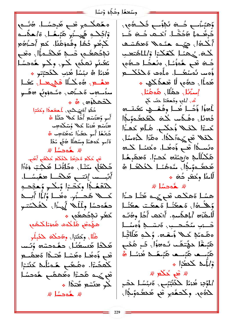ومّحكمًا وحُكِّف وْيْبَا

ەھككىم قىس ھُرجسُل ھُتُىم وْاجْدِهِ فَبِيءُ وَهُمِمًا. وْاهِدَّسُهِ كْبِعُدٍ دُهُا وِفَووْهُلُا. كُم أُحـُرُهُم تَجَحُمَعُــُـم، صَــجْ هَـكَــُـمبَالِ. مقْبِ مَعْمَعُو تَعَدُّو كُلُو. وِكُلُو هُءَدَسًا هُٰزِيُّا ۞ بِئْسًا هُزِبِ لِلْأَحَبِّتِ ۞ معشون وهو كالأكروش وستستعرض المناسب ملاًمس المستحدين المستحقوق المتحصر  $\star$   $\stackrel{*}{\bullet}$   $\cdot$   $\circ$   $\stackrel{*}{\bullet}$   $\star$ دُهُوَ أَهْتَكُمْ. أَحْقَقُهُ وَكُنْتُمْ أَمْنَاهُمْ وَكُنْتُمْ أُمرٍ وَهِنَمْهِمْ أَشَلْ كَلَّا حَتَنًا قُ هنّشع هُزئا كَملاً وُسْكُدْهِب دَّنسُهُا أُسِ حَعَّدُا عَمَّدَوت \* ەُ/ىر ئەھدا ومەھلا ھۇ غدا @ Lisci @ قَعِ يُكُمْ مُدَمُّوا لِكُكُمْ يُحْقَى أَهُى. كَـٰلاهُدْلِ مَتْـٰل مَكْلَةُنْـٰل هَٰـٰٓدِيْتٖ وَهُۥُلْـٰ أُنُبِـــب إِنْتَــبِ هَٰـلاَهُـــا هِـمُبِـبُـــا. لانقمُباً وكتَّ أوُكْرٍ وُهجْحـهِ كَـــــلا هُـدــــزُر.. ههُــــا وُالْمَا أَبِــــد حِمُّوصُلِ وِلْمُلَا ﴾ إِجْلِ. حَفُحَمَّتِ كَعُرِ لَجْحَمَعُهِ \* هؤءهم هالكوه هُوزالكلفور هُلًا. وكِنُتِزا. وهَجَدُهَ حَذْبُهِ هُكْتُا هُسْعُبُاً. حَمُّەجشَه وُنَّـب هَم وَّەھُـا ەھَسْـا هُتـدَّا ەْھمَّىــ لْحَمَّتْ!. ەھُىعَّى خَەئلُى كَتُنْبَا أَشَمَ مَدْتُمْ مِنْ مَنْ مَنْ مَنْ مِنْ مِنْ مِنْ كُم هنّشم هُتمًا \* 2 Lisai 2

المَوِّدِ: هُزْمًا ۖ حَكَبُّتِنِـ ۖ . هُبُسُـا حَصَّـ لِمِثَى. وكُحِمُوبِ مِّع هُدِشُوَجُا.

إِسْرُبُلْ. حِمُلًا. هُومُبُلْ. ٹی, اُلمی وِکُمعَکْل ہِنَّہ کُلم لْمَعْوَا وَّحُسَا هُسَا وِقُصْبِي بَعْدَتْ مِ دُەىُل. ەھُكُمپ كُنە كْھُكْتُدَوِّىدًا كُتْرًا جَلْدًا وُحَكْبٍ. هُـأَمْ كَعَـزًا لَحْمَلَا مْعِ يُهْدَلْهِ مِعْدًا لِمُؤْمِنَ مِمْكَارٍ. ەئسىدًا قىم ۆەھلى ەكىئىل كىرە هَكْلُلُمْ هَۥٓجِئْتُم حُدءُ!. هُمحَٰڔۿا هُدهُـوَهُـدًا. مُوصُدا للنُلْعُـا هُ لَّامِلُا وِكْتْدِ دُفْ ﴾ 2 Lisai 2

وَهِبَنَي حُــة تُلِفَي فَــْـةُ وِ.

كْرِهُــو! هُكُتْــا. ٱتْــفْ كُــةْ كُــزْ

ألحك أن حي مستحد الأصلات المستحد

لك من المكتمة المصر، من المستقامات المكتب

كُنْ هُبْ هُوَمُبْلَ. وتُعَكُّلُ حَيْوُهِ،

ؤْەمە ئەمئىغىسا. ەلمەت ەلكىكىنىغ

هُدءاً. درُّه الْ هُمَدَّكُمْ \*

هسُل هُهْكُمْ هُو كُمْ هُنُلْ حِزًّا وْلِحُدْ هُلَّى هُ هَيْئَةً لَهُ هَيْئَةً حَقَّتُهَا لَّامِكْنَرَه أَباهِكَمِيهِ. أَاتَكَفَ أَجَا وِرَهُنَـهِ تْــزبِ مَكْتَـحَــبِ. هُتَشَــجْ ؤُهمُــا ەكَــەكبا كَــىلا وْــڤــە. وْـكــِهِ هَـُلَاتْـِـل هُبُنْقُل حَهَّتْفُتْ شُوْهُوا. كُلّْ هُكْتِ هُرُوسِ هُرُوسِ هُ مُ اللَّهُ اللَّهُ مَنْ اللَّهُ اللَّهُ مِنْ اللَّهِ مِنْ اللَّهِ مِنْ اللَّهِ مِ وْالْمِكْكْكْتْدَا \* & قُم مُكُم هَ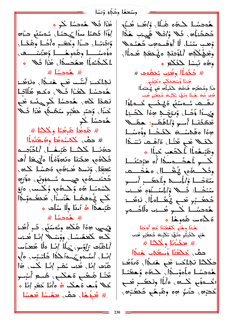ومّحكمًا وحُكِّف وْيْبَا

هُٰزَا ثُلا هُءَدِسًا كُمْ \* إِزَّٰٓا ضَعْمًا مِثَالٍ حَمْلٍ شَمِمَّةٍ حَزْرَه وَادًاسُل: حــزًا وِكْعْبِ هِأَصَّلِ وِهُكَــل: ەۋەمئىسىل وھُەوھىسىل ۇھۇشىسىھ. لْمُكْتُمَةً أَلْعَمْحَسَدًا. مُنْزَلَ فَكُلُّ مِنْ 2 Lisaie 2 تَجْلَكُتُ أَيْتُتَ هُبِ هُنَـٰهَا). وَتَرَهُـٰـ; هُوصُل حَمْـْٓ;ا فَـْهِـْ. وكُــم هَٰلَاتِهِ تَعطَّ كَلَّهِ. هُءَدسُّا كُبِيِّسَا شَي كَىنُا. وِّحِبْ هِعْبُرٍ مُنصَّلًا هُنَّا ثَــلا

ـمُّەحسُل كُــْ ه هُوهُا هُرهُنا وكُلُّا ه & حقّ كلامنُوهُا وهُمعُنُواْ! ثَلاةُه، هِنَّتْنَا هِنُوَوُّهُ إِلَّا هُنْ هُوَا أَفْ ئعِقِلَ. وُتَسِمْ هُـ;ةُ مِ هَعْسًا كَلَمَ . كَحسُكَ وَمَنْ حَيْنَ مُسْمَوْوِبُ . وَقُرْرَهِ لمشمسًا هُه وُلمُستُه وُلمُسْبٍ هُوَ لَكَحِ فِيُوهِمُا هَزَّنَاً. هَدَهُوهُمْ أَ هُدُهِهَٰا فُهُ أَسُلُّ وِلَّا مُنْآَتٍ \* R Lisca R

فَيْحِيدٍ هِهُمْ هُكُلُهُ وِشَمَعُهُ. ضَرِ أَهَٰذ لك بِهِ كَعِمَّسُلَ. ووُسْكَة إِنْبَا هُنْ أَلْمَنَّوْتَ رَاوَيْتٍ إِلَّا إِنْبَا هَلَّا هَعْجَنَّت إِنَّا. أَمَّدُوحٍ حَدَّثَكُما حَاتِبُو. هِ أَبِي هُنْد إِيزًا. هُنِي يُمْمِ إِيزًا جُبٍ. هَٰا هَٰتُـٰا هُىعًىـ هُـعثـــم. هُـــع أُــرُـــو كَمِلًا وُّمِعَهُ هُجَمَّدٌ ، وَأَمَّا خُضْرِ إِمَّا ﴾ ا ۞ مَكِنُونُهُمْلَ. حَقَّ. مَحْصَنُنْا مُحْصَنُا ا

هُوصُا لِهُو هُـُلاً. وْاهُــز هُــزٌو دُهدُ أَمْهِ وَالْمَلَامُ فَي مَنْ الْمَمْلِكَ مِنْ الْمَلْمَاءِ مِنْ وْهِبْ مُئْتَارِ. لَا أُوْقْتُ10 كَعْتُمْلًا وتَعِيثُكُمْ مَاذُكِكُمْ وَيُحْقَمْ هُدَاً. وقُه بُسْلِ لِمُكُلِّعِ ﴾ @ ڪُڏُماُ! وهُـزما مُـُـدهُـدا @ هُزئا وُمْعَدكُم مَكَبُوُمٍ.<br>دَٰا وِكَـٰحَمَٰٓۃِ ہِ عَـٰزَمُۃ لِـكَبِلَۃ ثَم لَىٰـحَمَاْ<br>۞ت حُـٰٓۃ ـَمَٰـنُا مَنَّہُۥ تَـٰٓحۡبۃ کَـٰحَمَٰٓبُہِ مُّنِـ ىقىم ئىمنىڭ كارۇا يَّ أَوْحُـا. وَبَوْجَــهِ وَهُوَ لَّكَــزِهِ هَتَمَتَـٰا أَسـو وْالمَكَـٰ: حكَــلا هِهُا هِفَمْسُــة لِمَنْصَــا وِؤُمِنْــا لِكُمْلا مْسِ هُتُلْ. هُ/قَـم تَسْـدُا وهَبْعُدُماْ أَحْكُمِبِ كَبِمْاْ ﴾ لْكُسِي لْمَحْسَنَاهُ أَهْ هَزَيْنُسَار وفُكْـــوهُ مِ يُقْـــال مِمْتْــــم مَّة حْسا وْالْمُسْكُمْ وِلْمَعْكُسِ أُسْسِرِ مَنْدُكَ فَكَلَّا وْالْمِمْكُوْهِ هُـــوْت كُْتِعْتُ بِهِ هَيْ يَا مُشَاءِبَاً. تَآهَى: هُّەدىسُــا كُـــو هُـــزى ەلَّاشْـــەو ەڭ مەرھا هُمِنًا وِهُمْ كَمْعَنْنَا كُمْ أَوْكُنَا هَبْ لِلذَّبِلِّهِ وَتَهَا: تَكْبُرْمَة كَعْطُبُهِ هُامَ ه هنَّائل و كُلْمًا هِ حفْ. كَلاهُمُا وُسِعَدِ هَيدًا حكْكْلا تْجْلَعْبْ مْي هْبْدُلْ. ەْبِرَهْبْ هُوصِبُ وَأُووُسِجُلَ. كَنْ وَجَعِجْنَا ائْسُوْم كْلُمْ. وْأَلَمْ! وِنْعَفْسِ ثْنِي كَحْبَرُهِ. حَنْثُمْ وَهِ وِهَٰبِهُمْ خَعْفُتْرُهِ.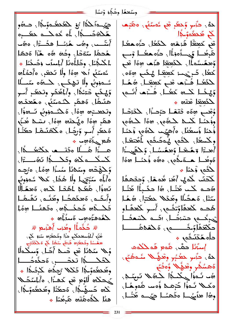ومّحكمًا وحُكِّف وْيْبَا

دَيْكُمَا رُوْ كَعَكْمُدْهُوَمْ إِنْ حَسْرُو هَٰٓۮةَ حَــــَۃُۢا ۖ. لَم يُدهَــد مع حمَد وه أَنتُسب. وهُب هُزْسًا هِدُنْ وهُ، هِ هُب هُحمًا مَتَوْحًا. وِحُهْ هُو هُزَا وُحِقَا لِمَكْبِكِيلِ. وكَلِلْمِنَا أَلِمِينَا وَشَيْئًا \* مُعَمِّمُ أَلا 60\$ وِلَا نَحْعَى. 2أَحْفَلُه شُــْدِوْبُ وِلَا نَـهِكَــبِ. كَــْدَه مَمْـــُلا وَّلِيكُمْ تْتَنْݣَالْ. وْأَيْاهُكُو وْتْتْتّْقَرْ أُسْرَ هِنَّعُلَ. هُٯِعُرِ حُنَّمِيْكٍ. مِعْعِدَهِ وتَكْتَبَرُهُ هِوَا. وَكَشُّدَوْوِبُ نُسْهَوْا. هِمَ وِهِ أَوْلَى مِنْكُمْ وِهِ مِنْهَا . لَسْمَا هُنَّى ەْھكْر أُسو وُرِجُل. مڭقشقىل حكتُل  $\cdot \cdot$   $\cdot \cdot \cdot$ ه أَا هُ لَمَّا هَنْ ـ هِ حَكْتَعُـ ـ هُ ا. كْسْݣْـــەكْلَا وْكْــــــهْ! نْݣْمْـــــــتْزا. وَحَذَرْهُ وَمَكْلًا مُنْدًا هِوَٰٓا. وَرُجِم ەڭمە مەزىخى بار بار ئىگىزى ئىرە ئى لَهُوَا فَالْمَحْمِ لِمَعْشَلِ كَلِهِ وَالْمَعْلَمِ الْأَلْمَ وأَمضَـه في هَ هَدَه و هَنْـه و هَفَـه لَـهُـمَــل كَكَنْدُه حَجَمْكُمْ وَجَعَلْهِ وَجَعَلَتُ Aior du du de @ حُذُماُ! وهُنِ أَقْنِيمِ @ هُنَّه ٱلمُوَّسعدكَ جَزَّا وِجُدهُمْ» سَّاوَ كَلَّ.<br>همَسًا وِجُدهُمْ» فَاتِّها سَفَا كَلِّ هَ لَكَتَبْتِي وُلا مَكْلًا هُمْ تَحْلُمْ أَكَلَ وَمِنْكُولًا لمَكْلِّمُ الْعُصْلِي. هُحثُم<sup>ْ</sup> صَل وِهُدهُوَوَىٰهُا كَتْلا رُحِدُه ۚ كَرْثَىٰهُا ۚ \* حْكَمَه لْلؤم مْع كَحِزًا. هُ لِمَكْكَ ِكْلَاهِ ۖ حَسِيَّىٰهُا ۚ . هُحِعْنُا ۖ وِهُحِعْدَوَّىٰهُا . هلًا لِلْمُوهُلُه هُرِهُنَا ﴾

هةُ: حَزْمِرٍ وَجَعَدٍ هُمْ شَمَعُهُ. وَهُرْهَا كُمْ مَحْمَدُوَّجُ أَ هُم كَعِنْقُا فَزْهُ لَكَعُا. دَرُّه هَعُـا هُرِهُما فَي أَوفِلًا. دَرُّهِ هِعُما وَمِ وُهمُسْهَمَا). للنَعِيقِا فِيَم وَوَا شَع مَعْلَمِ دَمْعِ التَّعِيمِ مَعْ مِنْ مِنْ مِنْ مِنْ مِنْ مِنْ لمَنَعُما هُـْتُ هُـ مُحِيِّدًا. وَهُمُـل وَلِمَـٰا نَكْـ مَـٰ دَهَـٰا. فَـٰٓزَهَا أُنَّـهِ لمكعقد هشمه وُهْبٍ وِهُهِ دُتَّهْـا حَرْحَـٰٓا لِمَحْتَهْـا وِوَٰٓدَٰٓىٰٓا ێٮۂ ٹﷺ. وہ ُوۡ اللہ وَوُو وُّحْنًا وَُسِعْنًا. ۞ مُصَّى لِمِنَّةٍ وَحَسَّا وكمسلاء لحقُم لمُعَصَّفَهِ لمُعْتَقَا. أهــْزَا وَهُـْعْدا وُهِـمُـْسُـا. وَكَـفَـٰىٰـزَا كَوِهُما هُمَاهُمْهِ. وَهُوَ وُحِمُمَا هَوَا | لأَثُم، وْكِمُا \* كْتَسُ ݣُولِي أَهُدِ هُوهَا. وُحِثْعِفًا هَجِم كُبِ هَٰتُا. هُ حَجَباً هَٰتُا مَثْلُ. هُ هَشُلًا وِهُنْمًا بِمَعْتِزًا. هُ هُمَا هُدء كَعفَاوِّتثُـهِ. أُسو كَعفَـاوِ ي أَسْمَهِ مِنْ أَسْمَاءِ الْمَسْمَدُ | داُه هُڏسُدُم \* إِسْتَهْلَا حَقٌّ. هُوم فَوَجْكُوهِ هةً. دَّنِسٍ هَعُـُبِنٍ وِتَعَهُّـهُمْ شُـهِقُمْ. ەھسُكْىر وقديُّلا ۋەئْبَ بْهِنْهِمْ كَلَاهْكُمْ لِمُحْكَمِ الْمِمْكِنِ الْمُعَامَةِ مِنْهَا مِنْهِمْ مِنْهَا مِنْهَا مِنْهَا هكْمْ نُـهزُا خَرْهَــدْ زُهِ مَـْ هُومِـمُـلْ. وهُا هِدَّبُكَ أَمْقَدُ أَحَيْ هُ هَتُمَا.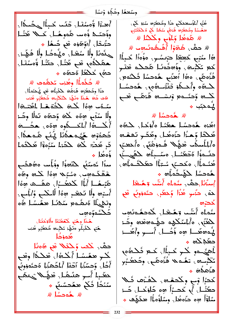ومَعْهَا وَحُكِّفَ وْبِسُا

أَهِـتْزَا وْْوَمِئْنَـا. تْتَب كْـرِـدًا حِجَّــدًا. وَوَّحمَـٰہٗ ؤُہٖٮ ہُہولھُـٰل ٖ کَــٰلاً ہَٰنُـٰل حَبُّـطْ. أَاوِّهُوَه هُم حُـمُا \* حِبَثُونَا وِلْا مُحْمَدُ ، وَيُوصُلُ وَلَا هُنَّهَى مِنْ هفَكِلُومٍ هُمٍ هَٰتُـاً. حَنَّـُا وُّومُنْنَا. دهُم مُعْطُلُ هُدِهُه \* *® حُذُه أَ\ وهُ*نِ *عُدهُوت ®* دَٰا وِكَحِمْرَه هَٰزِهُ ۚ حَذَرِٱهِ مَى هُحَدَّمَاً!. هَ د دُهَ هُمُلَ مَنْهُ: شَكْرُ مَهِ كَعْفُيْرِ هُنَ مَّـدٌ وَوَٰا كُـرَهَ كَثَّةَ هُـا لِمُّتَـرَّةِ ا وِلَا مُنْآمِ هِ٥٥ كُنْ وَحَدَّةٌ نَعْلًا وِحَـٰ; أَكْسِرَهُمْ أَلْمُكْسِكُوهِ وَوَدِّهِ. حَدُّسِيْهُ بِالْمُعَمَّةِ صِنْعَ الْأَمُعَمِّقَةِ مِهْدَمِكَمْ. كَرِ هَدْا لِكُنْ لِكَذِا مُبْوَوْا هَكِدُما ۆەھل<sup>ى</sup> مىدًا غَمِنْكُمْ لِللَّهُ وَأُولُو مِنْ مَلَّاهِ مِنْ الْمُسَمَّى هقكموس وكبلا وداكم ووه هُبُمُــا أَبَاٰ كُلفُــُ؛. هفَــد وهُ١ أَ~ْ وِلَا نَحْقَدِ وَهُا لَا نَكْبِ وُا أَبِ . وثيح السْمْعَة الْمُدَّمَّ مِنْكُمَّةً مِنَّةً كْلْشُەۋەرەب هَمِنْا وِهَبْمِ لَكَمْعَمْنْنَا وَلَاوْحُنُنَا. هَبْ لِلدَّبِلُو هَكُمْ; كَلَّامِهِ كَعْفُيُو هُنِ كدفك حقًّ. لَكَفَّ وُلَّكُمْلًا هُمْ رَهُولًا كْبِر هِمُسُلّا ٱلْحُدَّا. شَكْكًا وِتْب أُحًا. وُحمّنُها أَحْلَا ٱلمَحْمَلِ هَحنُهووبُ حَفَّرِا أَسِرٍ هِنَمَا. شَوْعَ ١َسْمَعَ مَنْحُا ثُكُمْ هِمُحِسَّسٌ ﴾ 2 Lisan 2

هُنَّهِ ٱلمُؤْسِعِدِكَمِ دَٰرًا وِحُدِهُ مِهِ مَنْ لَمِّي الْمَرْضَ همُسُا وحُمْعُوه فَرَمُ سَمَّا ﴾ هَ كَمَتَهَم **\*** هَوهُا دُاوْمٍ وكُكُنا \* **& حَقٌّ. هُقَوْا أُفُتِقُونُوب &** هُا مُبْہِ كَعِقِدًا دَبِسُـوٍ. هؤُوٱا كَـبِلًا كُمْ كَلّْبِيهْ. وِؤُهْدُنَا هُجِكُمْ هُنْبِ فُزْهِكَى. وَهُمْ أَبْعَثَهِمْ بِمُوصِبًا شُكْتُومَ. لِهِ مَنْ مِنْ مَمْ وَسُوَّحَتَهُ وَمُعَصِّدًا يْلِـدە وُحِنَــەم وْبِـنْيــدە فَـزْهَــع هُــع \* ببهم A Lisai A اهُذِهِ حُوصِمًا حِعَمًا وأَوْحُا. كَــُوهُ هَٰٓڵۮؙٳ؋ؚ؎ۥؙٛٳۦڂؙٶۿؙٳۦۅؚۿؘڬؠڔٮٞڡۿ؈ ه أَبْلِلُعِيكُمْ شَوْيُلًا شُوَوْعُلُمْ. ه/ُ دَهْنَيْ حنٌـدؤا هَحْعَمُــا. ممّــرِٱن كَحَمِيبَ هُنُـه}ُا. هكَدـَمٌ سُـتمْأَا حَهَّلاَثُـه}ُه. هُ مَصْلًا لِلْهُنفُوءُ \* إمبَّرْنَا حقَّ . مثَماه أَنتُب وَحَبِعْدَا حَةٍ. حَنُسٍ هُذُا وَحِعَبٍ. حَثَمَوْوِلُ هُم كحثره مثَماه أُمَنَّب وَهُبْشَا. ذُكْرَهُوبُوب لْهُنَّى وَأَلِمَكُمُ حَهُّءهوه وَحُـز لْهُ وَهُمَا وَوَ وَيُحْسَلُ: أُسْسِرٍ وِأَهَّسْ: دهکم کره \* لمَعْيُدِهِ كُلِّ مُدِمَمًا. كُلُّمْ فُكْتُهُمْ تُلْامِده . تْمُدْمْ فُنُوهَم . وِكْعْفُـبُر  $\leftrightarrow$   $\mathop{\rm Ad}\nolimits$ كَحَزَا وْبِ وِكْحَمْـْهِ . حْفُـْهَتْ شُلا حعَّتُـا. ﴾ كَحــَٰٓأُ وه كَاوَكُـا. كَــز مَدَّاوَٓا وه دَهَ هُدا. ومَدَاوُه أَلَّا هدَيْهَا \*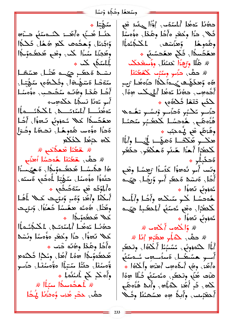ومَعْهَا وَحُكِّفَ وْبِسُا

مكمئنا \* حلُم هُــَيْ هِ أَهَد: حَسَّمتُ حـَـْتِهِ وَاجْبَنْا. وُحْشُوها كُمْ رَهُجًا. كَحْجًا وِهُدِمَٰٓۂا مُمُّزَٰا گُدٌ. وِهْمِ هَٰذِهُدَهُوَمِمَّا بْمَلْسَكُمْ مُحْمَّدٍ \* ىشىم ەَحكىر كى كە ھَتُا. ھىنھا مَّةكُلّْ مَتّْكُلُّهُ . وقُكْدُهُ مَكْهُتُمْ. أَكْل هُدْل وهُنّه مُكْتحب. هؤْمِمُا أىر مُەنا ئىنكا ھڭدوبە همَّكُسِدًّا كَلا شَوْوِبُ سُووُّا. أَكْل هُدَٰا هؤْهم، هُموهُـا. تصهُا وحُـرَا كە دېمىل لىككم ه مقعَّمًا شمكَّتَب ه *ه* حفّ . هَعَيْنَا هُوصِيًا أُهزَى هُ الْحَكْسُمِ الْمَحْتَّدَوِّجَاً. هَجَّيْ أَ حِثُوزًا وَوُّومُمَا. مَكْرُبَا لِمُوَكَّو وَمَمَّد. ه أُلْمُؤَكَّدَ هُمْ مُتَدَكَّدُهِ \* أَمْكُلًا وِأَهَٰذٍ وَمَّدٍ وَبَنَى كَــلاً لَمُصَـــاً وِهۡتُلۡ. ۞ه٤٥ همَّىسُل كَعۡزُوۡا ۗ. وَبَوَبِت ى*ُكلا* مُكْتَمَوُمْكَ \* دەُنَـا غەھَـا ٱلمِمَّىئـم. لمَـْكُـكُـفَـا كَملاً نُهوًّا. حزًّا وِكْعْدِ هؤْمِمًا وِنُسْمَ ه/ُڪُل وِهُٰڏَل وِهُ ُهُ ڪُنِڀ ۽ هَٰۡحَقُّومُۚهَا ۚ هَٰهٗا ٱهُٰوا ۖ وِـُكۡمَٰا ۖ فَكُنُوهِ قُومُمْلْل. حطَّال مَنْتِهَا وقُومُمْلْل. حَنُّب وأُهْدِ لَمْ أَسْتُمْ \* @ 12 1 Lucial حفٌّ. حثَّر هُزم وُودُنُا لِمُحُا

حِدُّمُا ۖ عَاهُدا ٱلْمُمَّفَّ ۚ إِذَٰاْ لِحَمَّد لَّٰهُ مَنْ ثَـلا . حزّا وِحْعْدِ ه/ۡحُـٰا وِهُـٰذَا . هؤُهمْا وهُومِهُا وِّعزَمْتِهِ لِمَكْلِمُتَهِما هُهَكُسِمًا. ثَكُمْ هُهُجِسَّيَنَ \* @ هُلَّا وَرَجْزًا تَعْبُدُلْ. ووُسْعَدِكْتْ @ حفَّ. حَنُّبٍ وَمَّبُو كَقْعَدُمْا هُه وُهكُهُـْ هِ عَهْدُهُمْ الْمُكَمَّاةِ مَوْهَدًا تَهْجَعَ أَحْدوهِ . حدُمُلُ مُدهُدا أَلِمِيكُما وَدَاً . لمئم ثتقا ئُلاهُور \* جَّەب كىلار ەڭگىر ۋىسْر تىھەت فُأُهمَٰى. هُوَمِسًا كُلْتَعُـّْبِر مُحْمَـٰا وَهَٰزَهُمْ شَمْ لِهُ هَذَا \* عكــــــــو هُــَـْتَـــّـــا هَ عَهْــــز لِيُّـــا وِأَلَمُّا كَلَنْظُوْا أَلْمَٰزًا لَّمُنْسُ هُلْمَكْتُو. تَكْتُلُو |ةحدٌبلُγ \* وِئْمِيا أَمُو نُوهُوْۤا كَلَّامَاْا رُهِمْمَا وِهْمِ أُحُلُّ. ەَىسْمْ ەَحْقَدِ أُمِرٍ وَْرَضًا. ۞كَــْ ـُّەوْوِبُ ۖ نُهوُّا ۞ هُوصُل كُـرِ مُنكَـرُه وِأَكْـا وِٱلْمَــٰمَ كَحْجَا. وقَع شَمْنُ أَلِمْحَمَّدِا حَيْءَ - شَەزوبُ - ئەدۋَا - ئە کا کا کہ کے مطابق ک ه حفّ حدّ الله محمَّدِ الله هـ أَيَاْ! لِكُدُوْوِبُ . مُتَّسَبُّنَا أَكْلَادًا . وِتَحْقَدِ أسبو هشتفان ةمتأسيوت شاممّهُ هِ أَهَٰذٍ. وَهُمْ أَسْلَمُوهِ أَهْنَوْهِ وَأَلَكُهُ أَنْ هَوْد هُنِّي وِتَحَقِّرٍ. هَدُمَمُّلُ ذُلًّا هِهُ ا لَاهِ . ثُمِ أُهُدَ لِكُهُمْ . وأُلِكُ قُنُوهُم أَحْقَرُمِينٍ. وأَبِدْ وَهِ هِمْمُعْمُلًا وِشَلَّا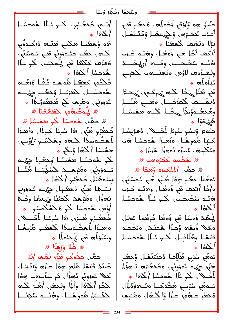ومفعفا وحُكِّف وْيمُا

أَنَّــم كَـحفُــ;ٌب. كُــر سُـأَا ـهُـوصُــا  $\cdot$   $\delta\chi$ هُه وُهكْنُا هكْب هْلْـه هْلْـهوُّم لَّكِنْ لِمَعْظِمِ حَيَّدَوْوِبُ هُلِ شَمْعَهُمْ بِ ەْھەَ كَتْݣُعْلُ ھُم يُـمِكْبُ. كُبْر سُـْالْـ ـَهُدَدَسُلَ أَحْدَهُ اللهِ ثَلاثَمِ كَعِنقِنا هُمسه دَهُا هَاهُـزه هُوصِيُا. حَعُنَيْا وُحِعَبِ حَيْبٍ ثَەزوٖبُ وەتْبِھ كُمْ هُدْهُووُلُوا \* **& لْمُحَدَّةُ مِ لَكَتْمُتَكُمْ لَهُ** ـ هـ حتَّى. ـ هُـ مـُـ مـُـل لكَنِ مَـمَّـسُل هـ كَحْمَٰٓئِي هُنِّي. هَٰا سُبِيًّا كَجِبَٰٓا. وَٱهْدَٰٓا لْمَشَـٰمِىدًا لِمَـٰهَ٥ وِـمَّـٰمْسُـٰرِ ۚ رَٰلَةٍ ۖبِ. همُسُلُّ أَكْدُّا وُكُمْ \* كُرِ هُوصِبًا هِمُسُا وَحِعَظِ كَيْتُ ئُےووبُ . ہ2ْبِھے كَسَجُّتَكَ هَتُكَ وِمْدَهُمُّا. كَحْجُرِ أَكْدَهُ! \* ىشىبالم ھُنّى ەَجھَىبا. جىّجە شەۋوبُ تَهوَّلْ. وهَبْعِظْ كَلْحَمَّلْ فِي مِعْظَمْ وِصْطِ اُوُم. ھُەھسُا كُمْ ەَكْھُكُمْسُ ﴾ كَعْݣُبُر هُـنِّي. هُا مُبِسًا لَمْسَــلا . وأهبأا ألمحْـوسما للمعُــو هَبْـمُـا ومَنَّوْمَاُهَ هُم يُحَدَّدُواْ ﴾ ه هُلا دِرْجِهُ! هِ حقٌّ. حكَّوْكُو هُنَّى تُهْمَا إِثْلَا حُىبُكُمْ ثَنَيْهَا هُامْ هِهَٰا حِنْهُ وَاخْتِبَا. كَمِلًا ۖ شَوْوِبُ ۖ تَحَوُّلُ. كُرِّ مَثَلُّسِجِفَ رَجَعًا لْحَكّْمْ أَكْتُهَا وَأَلَمَّا وتَحْكَنِ أَهَدْ كَلَّهِ لِكَسِّبَا هُومِهُــا. وهُنَــو مَجْنُــا

حَنُّسٌ ۞ وَإِوْثَى وُحُماً۞. هَٰكَكُمْ شَى أتزم كحزه وللمستشر وتسلمًا. سَرْلَا مَنْقَفَ لَكُمْعَدُا \* أَابْدِهِ أَكُلُّ هُمٍ وَّەهُـل. وِهُنَّـه شَـزَب ھُنَــه مَکْـحـــب وحْــــه أَرَيْـحُـــــدِ وِتَعِنُّوها لُلوُمْ. وتَعَنَّسُوما كُلابِس  $\bullet$   $\circ$   $\circ$   $\cdot$   $\circ$   $\cdot$   $\cdot$ اتْتْحَرْ. وصفْهِرْ مْكْ الْحْرَالْمْعْ بْ هَ ەُبەَـــە كْمُزْكَـــا. ەھَـــم هَنُـــا ومَحْتَدْعَةٍ وَالْمَجْمَعِينَ مِنْ الْمَحْدَثَةِ مِنْ مَسْتَقْسَمَةٍ مِنْ خَصَّةُ وَأَ دئەم ۋىسُر سُبِيًا لِمُصْلا ، ەَفْرَىسُا، كَبَرُا هُومُا. وأهدُا هُوصُل هُو هَنْكُرُمِينَ ﴾ وَمِعْلَى شَوْهِ وَالْمُؤْمَلُ لَهُ وَالْمُؤْمَنُونَ الْمُؤْمِنُونَ الْمُؤْمِنَ الْ 2 000 dans 10 ه حقٍّ. أَبْلَكُنَّ وَمُحْدًا هَ مُومُنَا حَقَدِ وَوَا هُنَّ هُم شَومًكُو. هِ أَكُل أَاتَكَ هُمْ وَهُ هُدَاً. وِهُنَّـه شَـْبَ ھُنّے مَّحَّىصى كُبِ سُأَلَّا هُوَصِيُنَا ۖ  $\frac{1}{2}$   $\frac{1}{2}$ لِّكُمْمْ ؤُهِمُا هُمْ ؤُهِقُدا خُرِهُوما عَمِلًا. هكلا وُمڤه وِّدءُ هَضَدٍ. هَنْدَهُ قتقــا وهُلَاتِــا. كُــر سُــاًا هُوَجِسًـا أكثعًا \* عْمَعُمْ مُبْتِي هَٰڵالْمَا هُحتَنتُمَا. وِّحْقَٰ هُنَّهِ حَيْءٍ شُوْوِبُ ۚ وَحُكْثَرُهِ شَهْؤُلَمْ أَضُلاً . كُمْ عَلَّا هُءَدَسًا أَكْدَهُ! \* سُـهمُع مُبْنِــع هُـثَّة ۡمَــا هَـُــهوَّهُ اُلِ هُ حَظَّرٍ حَدَّةً مِنْ الْمَرْدُوا وَالْحَدَّةُ الْمَسْتَقِيمَةِ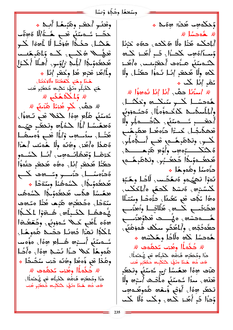ومَعْهَا وَحُكِّوْ وْبِسُا

وقنتو أحقو وهُبما أبيا \* حَصَّۃ شَـممَّعُ هَــع هُــةُ/ٱل هَ وَقَت هَكْمَا. حَخُكًا هُوَضًا لَا £100 كُب ھَؤُلا ھُكْب، كُلْمَ وُلِمُّبِعَّلِت هَٰٓدهُدوَّىدًا ٱلْمُبِّدِ ۚ رَٰٓ)وَ مِن ٱهلُّا ٱلْحُدَٰرُا وأَاهُد: مْتَرْمَ هُا وِكْعْدِ إِنَّا \* حَمْلًا وِحَمْمٍ لَكَمْعَنْنَا وَلَاؤْكِنُنَا. هَبْ لِلذِّيلَمِ وَنَهَا تَلاَيهِ كَلّْفُوْمٍ هُاب **® وَالْمَاهُنَّى ®** ه حقٌّ. كُمْ هُنْ*مًا هُنْمَ ۾* ثَمِمَّهُ هَٰلُع هِهُا لِلنَّلا مَّعِ نُـهوَا. هُهمُسُا أَلَمُا كُمُهُ وقَعِظُ حَيْء هَتُــا. مىأىــجە ۋالجا قىب ۋەمىھُــا هُحِكُلُ هُ أَهَٰذٍ. وِهُنَه وِلَّا هُهمُك أَهْزَا كَتِرْهْمَارْ وَتَعْتَقُائِكُ وَمِن. أَيْسًا كَنْشُدُو حعَّتُا هَٰحقَہِ اِتُا. وَهُو هَٰحقَہِ حَثَوَٰا ەْدْومئىسا. دۇسىر وئىسەدە كىسى هُدهُومُكُما. حَسُّوهُمُا وَعَدْدًا ﴾ همَّسُا فِكَمْتَ هُدْهُوَيُّا لِكَشُوهُت مَنْقَضًا. وَحَكِّعُوه هُرُها هُتُلْ وَعُلِّهُ لِمُعفِط لِكَبِلُمِ. هُــقوْا لِمُكْلِمَا 200 ) لَهُم كَمِلاً شَمْوَوِسُ. وِكْمُعَهُدُواْ لمكْمُل ثعْنَل دُوسُل حضْــــــــمْ هُوجُــل . ئَــٰمِمّٰلُ أَـــٰٓرَه هُـــام هِهُا. مؤُمنا هُومِمُا حُلا درُا سُسْهِ وهُا. وأُحُل وِهُدًا هُمْ وُهِ هُدَا وِهُنَه دْنِي مُكْتُدًا ﴾ *® حُذْهَأَا وهُن حُدهُه ه* جَزًا وِجَحَمَٰٓءَ هَ وَجَمَّةَ حَكَبِلُه فَي هُجَدَّمَاً!.<br>هَدَ جُهَ جَبَيْنَ مَنْهَ: حَبْجَتِهِ جَحَمَّيْنِ هُيَت

وُحِكُمُهِ مَحْبًا هِهَكُمْ \* 2 Lisaé 2 ٱۦإحكْمه هَٰتُا هلًا هَ كَحم . حهَّه كَبُرُا وَمِسْلَاهُ وَمِنْ كُلْمَةُ إِنْ ضَرِ أَهْدَ كَلُّدَه لمشمئله هذوه أحفز للب وأهْدز كَلُّهِ وِلَا هُحِمْدٍ إِنَّا نُـهِ وَا حِمَّتُـا. وِلَا *ـُـقَہِ إِنْ*ا كُمْ \* & امنُّنُا حقٌّ. أَنَّا إِنَّا نُوهوُّا & هُوصُل كُلِّر مُنكِّده وِتَحَكَّلَ. وأَلِمَلُسَلَاسِكُمْ كَلَائُدَوْوَهَ أَلَ. هُحَشُدَوْوِبُ أُحْقَىبِ شَـــومَّةٍ. كَرْشَـــولَمْ وِلَا هْهِكُنْجُنَا. كُنْتَرَا جَزْهِهُنَا هَجْنِهُنِي كُــــــو. وتكلفَــرهُــــمي قســـع أَـــــكمِهْمالِمُ. هُ كَمَنْكَــــــــــــمُوم هُبْكَــــــــــــــــــــمُ. هُدهُــوَٰٓبِدًا حَٰدهُـــرُبِ. وتَدْهَٰزِهُــو |دَ:ْہمُمْلِ وهُدوهُا ۞ ئەۋا تىمپەم ەتككىت. لاكا وڭئ لْمَسْتَرْهِ. ەَىشكا لْمُحَكَّمِ ەْلْمِكْكْت. هِ هُمَّا مُجْمَّد هُم مُعَمَّلٌ. حَتَّوَهُمَّا وِمُتَتَلَّا هجَزْمُبِ كَلَّــرَهِ . هَٰكَاتِــا وِٱهزَّــبِ حَقُّه\$بُده . و{الْمُكَبّ مَكْفٌ فَهوَهُلّ . هُدَسُل لَاهِ وَلَائُلَ وِهَٰكِسُهِ ﴾ ® حُذُه أُل وهُن، مُدهُّده ® جزًا وِجُحِمُرَ» فَرَهُّ: حَكَبِلُه هُم هُجْمُدًا.<br>وَهَ جَدَّة هُنا وَيَهَا: حَكَمَّتِهِ حَكَمَّتِهِ وَجَدَّةٍ هْزَت وِهُا هِمُسُل رَبِّ ثَمِنْكُمْ وِلَـْتَكُمْ هْلُه . مماًّا شَمْمُهُ مأْتَــه أَــثِه وِلًّا تَكْتُمْ وَوَٰهَا. أَوْثَى وُحْدُوا هُومِكُدومِد وَجْزًا جَمْ أُهُدَ كَلُّهِ . وِكُمُّ وَٱلْكُمْسَ